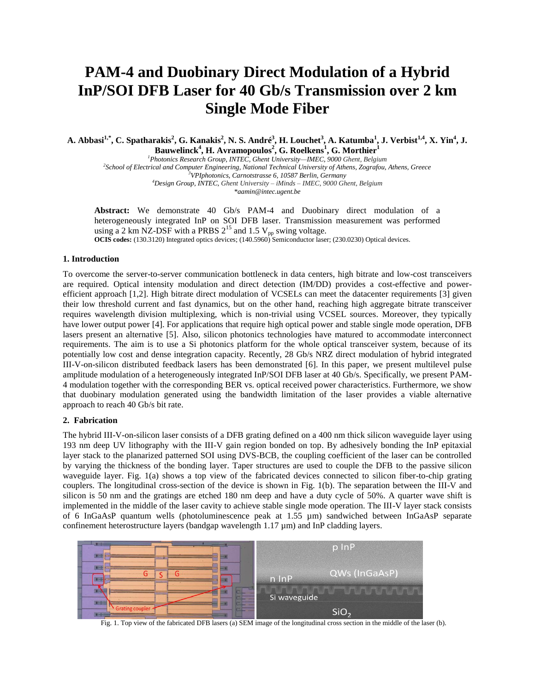# **PAM-4 and Duobinary Direct Modulation of a Hybrid InP/SOI DFB Laser for 40 Gb/s Transmission over 2 km Single Mode Fiber**

A. Abbasi<sup>1,\*</sup>, C. Spatharakis<sup>2</sup>, G. Kanakis<sup>2</sup>, N. S. André<sup>3</sup>, H. Louchet<sup>3</sup>, A. Katumba<sup>1</sup>, J. Verbist<sup>1,4</sup>, X. Yin<sup>4</sup>, J. **Bauwelinck<sup>4</sup> , H. Avramopoulos<sup>2</sup> , G. Roelkens<sup>1</sup> , G. Morthier<sup>1</sup>**

*Photonics Research Group, INTEC, Ghent University—IMEC, 9000 Ghent, Belgium School of Electrical and Computer Engineering, National Technical University of Athens, Zografou, Athens, Greece VPIphotonics, Carnotstrasse 6, 10587 Berlin, Germany Design Group, INTEC, Ghent University – iMinds – IMEC, 9000 Ghent, Belgium \*aamin@intec.ugent.be*

**Abstract:** We demonstrate 40 Gb/s PAM-4 and Duobinary direct modulation of a heterogeneously integrated InP on SOI DFB laser. Transmission measurement was performed using a 2 km NZ-DSF with a PRBS  $2^{15}$  and 1.5 V<sub>pp</sub> swing voltage.

**OCIS codes:** (130.3120) Integrated optics devices; (140.5960) Semiconductor laser; (230.0230) Optical devices.

# **1. Introduction**

To overcome the server-to-server communication bottleneck in data centers, high bitrate and low-cost transceivers are required. Optical intensity modulation and direct detection (IM/DD) provides a cost-effective and powerefficient approach [1,2]. High bitrate direct modulation of VCSELs can meet the datacenter requirements [3] given their low threshold current and fast dynamics, but on the other hand, reaching high aggregate bitrate transceiver requires wavelength division multiplexing, which is non-trivial using VCSEL sources. Moreover, they typically have lower output power [4]. For applications that require high optical power and stable single mode operation, DFB lasers present an alternative [5]. Also, silicon photonics technologies have matured to accommodate interconnect requirements. The aim is to use a Si photonics platform for the whole optical transceiver system, because of its potentially low cost and dense integration capacity. Recently, 28 Gb/s NRZ direct modulation of hybrid integrated III-V-on-silicon distributed feedback lasers has been demonstrated [6]. In this paper, we present multilevel pulse amplitude modulation of a heterogeneously integrated InP/SOI DFB laser at 40 Gb/s. Specifically, we present PAM-4 modulation together with the corresponding BER vs. optical received power characteristics. Furthermore, we show that duobinary modulation generated using the bandwidth limitation of the laser provides a viable alternative approach to reach 40 Gb/s bit rate.

# **2. Fabrication**

The hybrid III-V-on-silicon laser consists of a DFB grating defined on a 400 nm thick silicon waveguide layer using 193 nm deep UV lithography with the III-V gain region bonded on top. By adhesively bonding the InP epitaxial layer stack to the planarized patterned SOI using DVS-BCB, the coupling coefficient of the laser can be controlled by varying the thickness of the bonding layer. Taper structures are used to couple the DFB to the passive silicon waveguide layer. Fig. 1(a) shows a top view of the fabricated devices connected to silicon fiber-to-chip grating couplers. The longitudinal cross-section of the device is shown in Fig. 1(b). The separation between the III-V and silicon is 50 nm and the gratings are etched 180 nm deep and have a duty cycle of 50%. A quarter wave shift is implemented in the middle of the laser cavity to achieve stable single mode operation. The III-V layer stack consists of 6 InGaAsP quantum wells (photoluminescence peak at 1.55 µm) sandwiched between InGaAsP separate confinement heterostructure layers (bandgap wavelength 1.17 µm) and InP cladding layers.



Fig. 1. Top view of the fabricated DFB lasers (a) SEM image of the longitudinal cross section in the middle of the laser (b).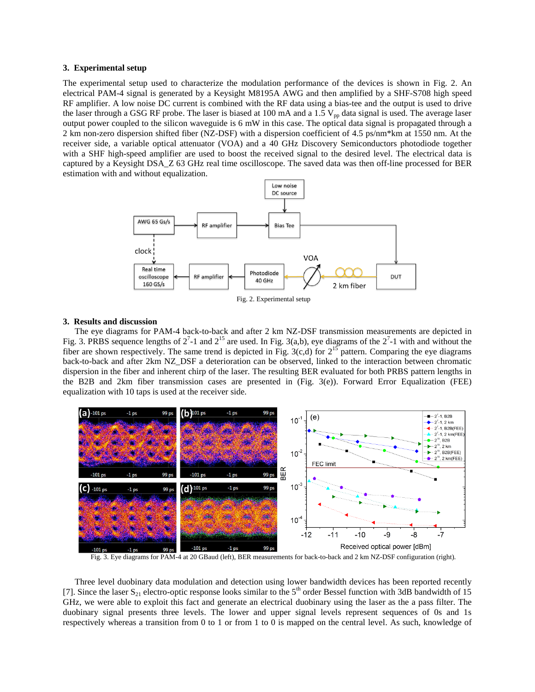# **3. Experimental setup**

The experimental setup used to characterize the modulation performance of the devices is shown in Fig. 2. An electrical PAM-4 signal is generated by a Keysight M8195A AWG and then amplified by a SHF-S708 high speed RF amplifier. A low noise DC current is combined with the RF data using a bias-tee and the output is used to drive the laser through a GSG RF probe. The laser is biased at 100 mA and a 1.5  $V_{\text{pp}}$  data signal is used. The average laser output power coupled to the silicon waveguide is 6 mW in this case. The optical data signal is propagated through a 2 km non-zero dispersion shifted fiber (NZ-DSF) with a dispersion coefficient of 4.5 ps/nm\*km at 1550 nm. At the receiver side, a variable optical attenuator (VOA) and a 40 GHz Discovery Semiconductors photodiode together with a SHF high-speed amplifier are used to boost the received signal to the desired level. The electrical data is captured by a Keysight DSA\_Z 63 GHz real time oscilloscope. The saved data was then off-line processed for BER estimation with and without equalization.



# **3. Results and discussion**

The eye diagrams for PAM-4 back-to-back and after 2 km NZ-DSF transmission measurements are depicted in Fig. 3. PRBS sequence lengths of  $2^7$ -1 and  $2^{15}$  are used. In Fig. 3(a,b), eye diagrams of the  $2^7$ -1 with and without the fiber are shown respectively. The same trend is depicted in Fig. 3(c,d) for  $2^{15}$  pattern. Comparing the eye diagrams back-to-back and after 2km NZ\_DSF a deterioration can be observed, linked to the interaction between chromatic dispersion in the fiber and inherent chirp of the laser. The resulting BER evaluated for both PRBS pattern lengths in the B2B and 2km fiber transmission cases are presented in (Fig. 3(e)). Forward Error Equalization (FEE) equalization with 10 taps is used at the receiver side.



Fig. 3. Eye diagrams for PAM-4 at 20 GBaud (left), BER measurements for back-to-back and 2 km NZ-DSF configuration (right).

Three level duobinary data modulation and detection using lower bandwidth devices has been reported recently [7]. Since the laser  $S_{21}$  electro-optic response looks similar to the 5<sup>th</sup> order Bessel function with 3dB bandwidth of 15 GHz, we were able to exploit this fact and generate an electrical duobinary using the laser as the a pass filter. The duobinary signal presents three levels. The lower and upper signal levels represent sequences of 0s and 1s respectively whereas a transition from 0 to 1 or from 1 to 0 is mapped on the central level. As such, knowledge of